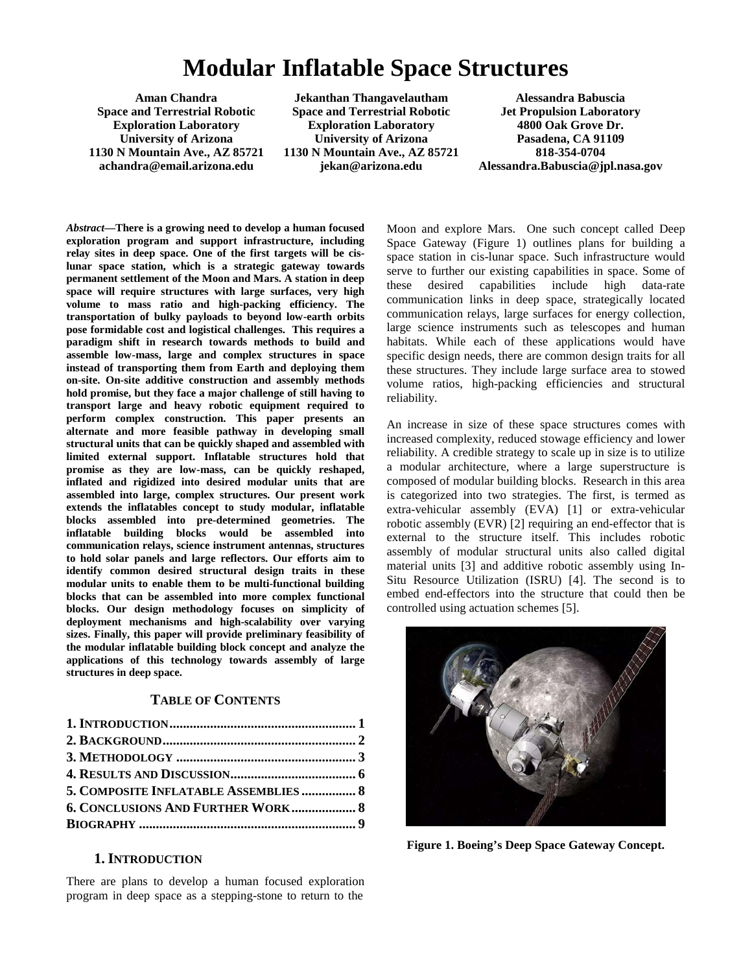# **Modular Inflatable Space Structures**

**Aman Chandra Space and Terrestrial Robotic Exploration Laboratory University of Arizona 1130 N Mountain Ave., AZ 85721 achandra@email.arizona.edu**

**Jekanthan Thangavelautham Space and Terrestrial Robotic Exploration Laboratory University of Arizona 1130 N Mountain Ave., AZ 85721 jekan@arizona.edu**

**Alessandra Babuscia Jet Propulsion Laboratory 4800 Oak Grove Dr. Pasadena, CA 91109 818-354-0704 Alessandra.Babuscia@jpl.nasa.gov**

*Abstract***—There is a growing need to develop a human focused exploration program and support infrastructure, including relay sites in deep space. One of the first targets will be cislunar space station, which is a strategic gateway towards permanent settlement of the Moon and Mars. A station in deep space will require structures with large surfaces, very high volume to mass ratio and high-packing efficiency. The transportation of bulky payloads to beyond low-earth orbits pose formidable cost and logistical challenges. This requires a paradigm shift in research towards methods to build and assemble low-mass, large and complex structures in space instead of transporting them from Earth and deploying them on-site. On-site additive construction and assembly methods hold promise, but they face a major challenge of still having to transport large and heavy robotic equipment required to perform complex construction. This paper presents an alternate and more feasible pathway in developing small structural units that can be quickly shaped and assembled with limited external support. Inflatable structures hold that promise as they are low-mass, can be quickly reshaped, inflated and rigidized into desired modular units that are assembled into large, complex structures. Our present work extends the inflatables concept to study modular, inflatable blocks assembled into pre-determined geometries. The inflatable building blocks would be assembled into communication relays, science instrument antennas, structures to hold solar panels and large reflectors. Our efforts aim to identify common desired structural design traits in these modular units to enable them to be multi-functional building blocks that can be assembled into more complex functional blocks. Our design methodology focuses on simplicity of deployment mechanisms and high-scalability over varying sizes. Finally, this paper will provide preliminary feasibility of the modular inflatable building block concept and analyze the applications of this technology towards assembly of large structures in deep space.** 

# **TABLE OF CONTENTS**

| 5. COMPOSITE INFLATABLE ASSEMBLIES  8    |  |
|------------------------------------------|--|
| <b>6. CONCLUSIONS AND FURTHER WORK 8</b> |  |
|                                          |  |
|                                          |  |

# **1. INTRODUCTION**

There are plans to develop a human focused exploration program in deep space as a stepping-stone to return to the Moon and explore Mars. One such concept called Deep Space Gateway (Figure 1) outlines plans for building a space station in cis-lunar space. Such infrastructure would serve to further our existing capabilities in space. Some of these desired capabilities include high data-rate communication links in deep space, strategically located communication relays, large surfaces for energy collection, large science instruments such as telescopes and human habitats. While each of these applications would have specific design needs, there are common design traits for all these structures. They include large surface area to stowed volume ratios, high-packing efficiencies and structural reliability.

An increase in size of these space structures comes with increased complexity, reduced stowage efficiency and lower reliability. A credible strategy to scale up in size is to utilize a modular architecture, where a large superstructure is composed of modular building blocks. Research in this area is categorized into two strategies. The first, is termed as extra-vehicular assembly (EVA) [1] or extra-vehicular robotic assembly (EVR) [2] requiring an end-effector that is external to the structure itself. This includes robotic assembly of modular structural units also called digital material units [3] and additive robotic assembly using In-Situ Resource Utilization (ISRU) [4]. The second is to embed end-effectors into the structure that could then be controlled using actuation schemes [5].

<span id="page-0-0"></span>

**Figure 1. Boeing's Deep Space Gateway Concept.**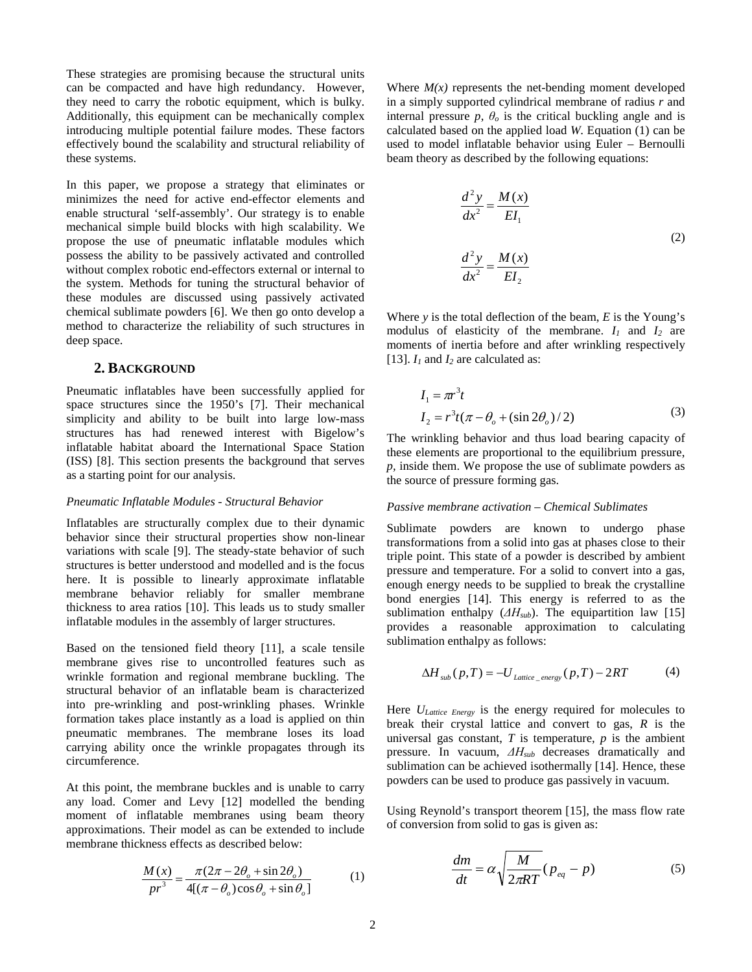These strategies are promising because the structural units can be compacted and have high redundancy. However, they need to carry the robotic equipment, which is bulky. Additionally, this equipment can be mechanically complex introducing multiple potential failure modes. These factors effectively bound the scalability and structural reliability of these systems.

In this paper, we propose a strategy that eliminates or minimizes the need for active end-effector elements and enable structural 'self-assembly'. Our strategy is to enable mechanical simple build blocks with high scalability. We propose the use of pneumatic inflatable modules which possess the ability to be passively activated and controlled without complex robotic end-effectors external or internal to the system. Methods for tuning the structural behavior of these modules are discussed using passively activated chemical sublimate powders [6]. We then go onto develop a method to characterize the reliability of such structures in deep space.

## **2. BACKGROUND**

<span id="page-1-0"></span>Pneumatic inflatables have been successfully applied for space structures since the 1950's [7]. Their mechanical simplicity and ability to be built into large low-mass structures has had renewed interest with Bigelow's inflatable habitat aboard the International Space Station (ISS) [8]. This section presents the background that serves as a starting point for our analysis.

#### *Pneumatic Inflatable Modules - Structural Behavior*

Inflatables are structurally complex due to their dynamic behavior since their structural properties show non-linear variations with scale [9]. The steady-state behavior of such structures is better understood and modelled and is the focus here. It is possible to linearly approximate inflatable membrane behavior reliably for smaller membrane thickness to area ratios [10]. This leads us to study smaller inflatable modules in the assembly of larger structures.

Based on the tensioned field theory [11], a scale tensile membrane gives rise to uncontrolled features such as wrinkle formation and regional membrane buckling. The structural behavior of an inflatable beam is characterized into pre-wrinkling and post-wrinkling phases. Wrinkle formation takes place instantly as a load is applied on thin pneumatic membranes. The membrane loses its load carrying ability once the wrinkle propagates through its circumference.

At this point, the membrane buckles and is unable to carry any load. Comer and Levy [12] modelled the bending moment of inflatable membranes using beam theory approximations. Their model as can be extended to include membrane thickness effects as described below:

$$
\frac{M(x)}{pr^3} = \frac{\pi (2\pi - 2\theta_o + \sin 2\theta_o)}{4[(\pi - \theta_o)\cos \theta_o + \sin \theta_o]}
$$
(1)

Where  $M(x)$  represents the net-bending moment developed in a simply supported cylindrical membrane of radius *r* and internal pressure  $p$ ,  $\theta$ <sup>*o*</sup> is the critical buckling angle and is calculated based on the applied load *W*. Equation (1) can be used to model inflatable behavior using Euler – Bernoulli beam theory as described by the following equations:

$$
\frac{d^2 y}{dx^2} = \frac{M(x)}{EI_1}
$$
\n
$$
\frac{d^2 y}{dx^2} = \frac{M(x)}{EI_2}
$$
\n(2)

Where *y* is the total deflection of the beam, *E* is the Young's modulus of elasticity of the membrane. *I1* and *I2* are moments of inertia before and after wrinkling respectively [13]. *I1* and *I2* are calculated as:

$$
I_1 = \pi r^3 t
$$
  
\n
$$
I_2 = r^3 t (\pi - \theta_0 + (\sin 2\theta_0)/2)
$$
\n(3)

The wrinkling behavior and thus load bearing capacity of these elements are proportional to the equilibrium pressure, *p,* inside them. We propose the use of sublimate powders as the source of pressure forming gas.

#### *Passive membrane activation – Chemical Sublimates*

Sublimate powders are known to undergo phase transformations from a solid into gas at phases close to their triple point. This state of a powder is described by ambient pressure and temperature. For a solid to convert into a gas, enough energy needs to be supplied to break the crystalline bond energies [14]. This energy is referred to as the sublimation enthalpy (*ΔHsub*). The equipartition law [15] provides a reasonable approximation to calculating sublimation enthalpy as follows:

$$
\Delta H_{sub}(p,T) = -U_{Lattice\_energy}(p,T) - 2RT \tag{4}
$$

Here  $U_{Lattice Energy}$  is the energy required for molecules to break their crystal lattice and convert to gas, *R* is the universal gas constant,  $T$  is temperature,  $p$  is the ambient pressure. In vacuum, *ΔHsub* decreases dramatically and sublimation can be achieved isothermally [14]. Hence, these powders can be used to produce gas passively in vacuum.

Using Reynold's transport theorem [15], the mass flow rate of conversion from solid to gas is given as:

$$
\frac{dm}{dt} = \alpha \sqrt{\frac{M}{2\pi RT}} (p_{eq} - p) \tag{5}
$$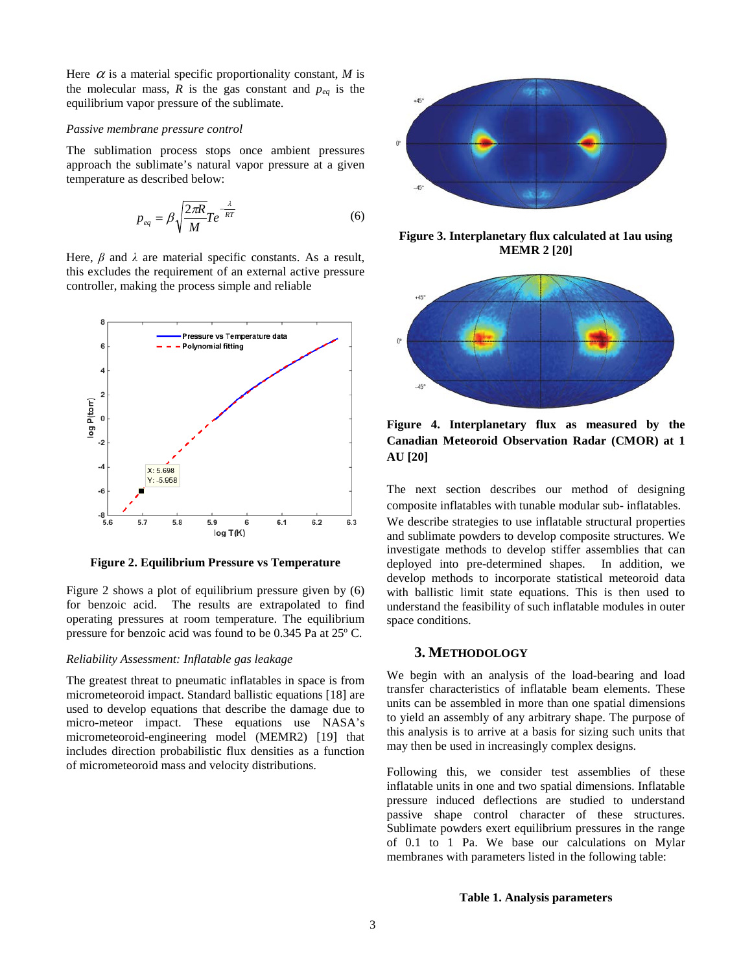Here  $\alpha$  is a material specific proportionality constant,  $M$  is the molecular mass,  $R$  is the gas constant and  $p_{eq}$  is the equilibrium vapor pressure of the sublimate.

## *Passive membrane pressure control*

The sublimation process stops once ambient pressures approach the sublimate's natural vapor pressure at a given temperature as described below:

$$
p_{eq} = \beta \sqrt{\frac{2\pi R}{M}} T e^{-\frac{\lambda}{RT}}
$$
 (6)

Here, *β* and *λ* are material specific constants. As a result, this excludes the requirement of an external active pressure controller, making the process simple and reliable



**Figure 2. Equilibrium Pressure vs Temperature**

Figure 2 shows a plot of equilibrium pressure given by (6) for benzoic acid. The results are extrapolated to find operating pressures at room temperature. The equilibrium pressure for benzoic acid was found to be 0.345 Pa at 25º C.

## *Reliability Assessment: Inflatable gas leakage*

The greatest threat to pneumatic inflatables in space is from micrometeoroid impact. Standard ballistic equations [18] are used to develop equations that describe the damage due to micro-meteor impact. These equations use NASA's micrometeoroid-engineering model (MEMR2) [19] that includes direction probabilistic flux densities as a function of micrometeoroid mass and velocity distributions.



**Figure 3. Interplanetary flux calculated at 1au using MEMR 2 [20]**



**Figure 4. Interplanetary flux as measured by the Canadian Meteoroid Observation Radar (CMOR) at 1 AU [20]**

The next section describes our method of designing composite inflatables with tunable modular sub- inflatables.

We describe strategies to use inflatable structural properties and sublimate powders to develop composite structures. We investigate methods to develop stiffer assemblies that can deployed into pre-determined shapes. In addition, we develop methods to incorporate statistical meteoroid data with ballistic limit state equations. This is then used to understand the feasibility of such inflatable modules in outer space conditions.

# **3. METHODOLOGY**

<span id="page-2-0"></span>We begin with an analysis of the load-bearing and load transfer characteristics of inflatable beam elements. These units can be assembled in more than one spatial dimensions to yield an assembly of any arbitrary shape. The purpose of this analysis is to arrive at a basis for sizing such units that may then be used in increasingly complex designs.

Following this, we consider test assemblies of these inflatable units in one and two spatial dimensions. Inflatable pressure induced deflections are studied to understand passive shape control character of these structures. Sublimate powders exert equilibrium pressures in the range of 0.1 to 1 Pa. We base our calculations on Mylar membranes with parameters listed in the following table:

#### **Table 1. Analysis parameters**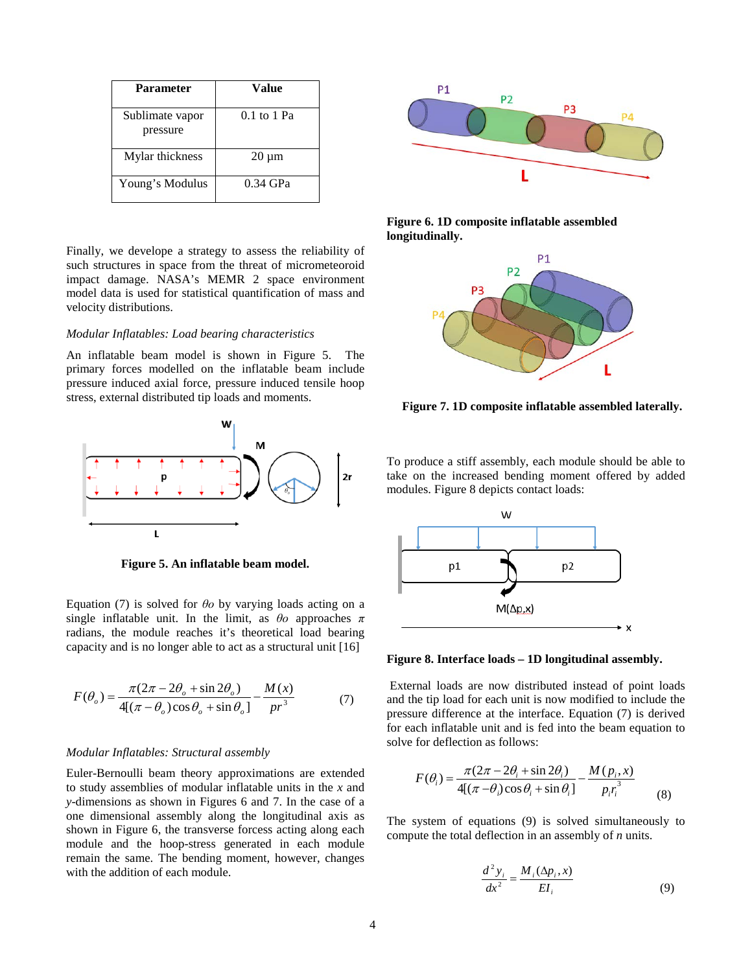| <b>Parameter</b>            | Value         |
|-----------------------------|---------------|
| Sublimate vapor<br>pressure | $0.1$ to 1 Pa |
| Mylar thickness             | $20 \mu m$    |
| Young's Modulus             | 0.34 GPa      |

Finally, we develope a strategy to assess the reliability of such structures in space from the threat of micrometeoroid impact damage. NASA's MEMR 2 space environment model data is used for statistical quantification of mass and velocity distributions.

## *Modular Inflatables: Load bearing characteristics*

An inflatable beam model is shown in Figure 5. The primary forces modelled on the inflatable beam include pressure induced axial force, pressure induced tensile hoop stress, external distributed tip loads and moments.



**Figure 5. An inflatable beam model.**

Equation (7) is solved for *θo* by varying loads acting on a single inflatable unit. In the limit, as *θo* approaches *π* radians, the module reaches it's theoretical load bearing capacity and is no longer able to act as a structural unit [16]

$$
F(\theta_o) = \frac{\pi (2\pi - 2\theta_o + \sin 2\theta_o)}{4[(\pi - \theta_o)\cos \theta_o + \sin \theta_o]} - \frac{M(x)}{pr^3}
$$
(7)

## *Modular Inflatables: Structural assembly*

Euler-Bernoulli beam theory approximations are extended to study assemblies of modular inflatable units in the *x* and *y*-dimensions as shown in Figures 6 and 7. In the case of a one dimensional assembly along the longitudinal axis as shown in Figure 6, the transverse forcess acting along each module and the hoop-stress generated in each module remain the same. The bending moment, however, changes with the addition of each module.



**Figure 6. 1D composite inflatable assembled longitudinally.**



 **Figure 7. 1D composite inflatable assembled laterally.**

To produce a stiff assembly, each module should be able to take on the increased bending moment offered by added modules. Figure 8 depicts contact loads:



**Figure 8. Interface loads – 1D longitudinal assembly.**

External loads are now distributed instead of point loads and the tip load for each unit is now modified to include the pressure difference at the interface. Equation (7) is derived for each inflatable unit and is fed into the beam equation to solve for deflection as follows:

$$
F(\theta_i) = \frac{\pi (2\pi - 2\theta_i + \sin 2\theta_i)}{4[(\pi - \theta_i)\cos \theta_i + \sin \theta_i]} - \frac{M(p_i, x)}{p_i r_i^3}
$$
(8)

The system of equations (9) is solved simultaneously to compute the total deflection in an assembly of *n* units.

$$
\frac{d^2 y_i}{dx^2} = \frac{M_i(\Delta p_i, x)}{EI_i}
$$
(9)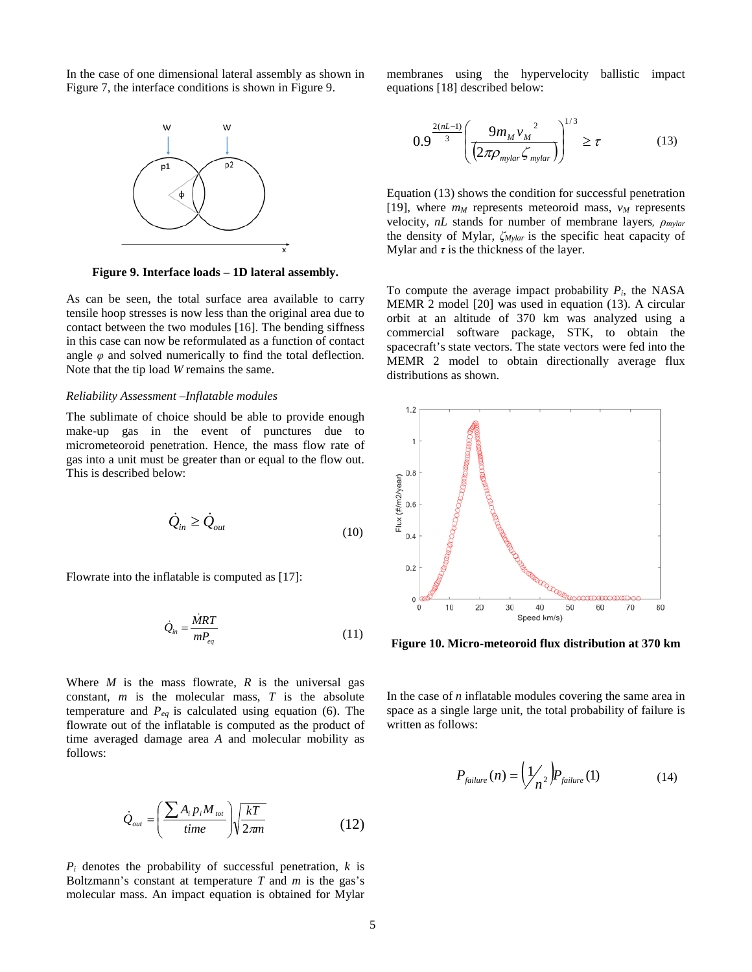In the case of one dimensional lateral assembly as shown in Figure 7, the interface conditions is shown in Figure 9.



**Figure 9. Interface loads – 1D lateral assembly.**

As can be seen, the total surface area available to carry tensile hoop stresses is now less than the original area due to contact between the two modules [16]. The bending siffness in this case can now be reformulated as a function of contact angle  $\varphi$  and solved numerically to find the total deflection. Note that the tip load *W* remains the same.

#### *Reliability Assessment –Inflatable modules*

The sublimate of choice should be able to provide enough make-up gas in the event of punctures due to micrometeoroid penetration. Hence, the mass flow rate of gas into a unit must be greater than or equal to the flow out. This is described below:

$$
\dot{Q}_{in} \ge \dot{Q}_{out} \tag{10}
$$

Flowrate into the inflatable is computed as [17]:

$$
\dot{Q}_{in} = \frac{\dot{M}RT}{mP_{eq}} \tag{11}
$$

Where  $M$  is the mass flowrate,  $R$  is the universal gas constant, *m* is the molecular mass, *T* is the absolute temperature and  $P_{eq}$  is calculated using equation (6). The flowrate out of the inflatable is computed as the product of time averaged damage area *A* and molecular mobility as follows:

$$
\dot{Q}_{out} = \left(\frac{\sum A_i p_i M_{tot}}{time}\right) \sqrt{\frac{kT}{2\pi m}}
$$
(12)

*Pi* denotes the probability of successful penetration, *k* is Boltzmann's constant at temperature *T* and *m* is the gas's molecular mass. An impact equation is obtained for Mylar membranes using the hypervelocity ballistic impact equations [18] described below:

$$
0.9^{\frac{2(nL-1)}{3}} \left( \frac{9m_M v_M^2}{\left(2\pi \rho_{mylar} \zeta_{mylar}\right)} \right)^{1/3} \ge \tau \tag{13}
$$

Equation (13) shows the condition for successful penetration [19], where  $m_M$  represents meteoroid mass,  $v_M$  represents velocity, *nL* stands for number of membrane layers*, ρmylar* the density of Mylar, *ζMylar* is the specific heat capacity of Mylar and  $\tau$  is the thickness of the layer.

To compute the average impact probability *Pi*, the NASA MEMR 2 model [20] was used in equation (13). A circular orbit at an altitude of 370 km was analyzed using a commercial software package, STK, to obtain the spacecraft's state vectors. The state vectors were fed into the MEMR 2 model to obtain directionally average flux distributions as shown.



**Figure 10. Micro-meteoroid flux distribution at 370 km**

In the case of *n* inflatable modules covering the same area in space as a single large unit, the total probability of failure is written as follows:

$$
P_{failure}(n) = \left(\frac{1}{n^2}\right) P_{failure}(1) \tag{14}
$$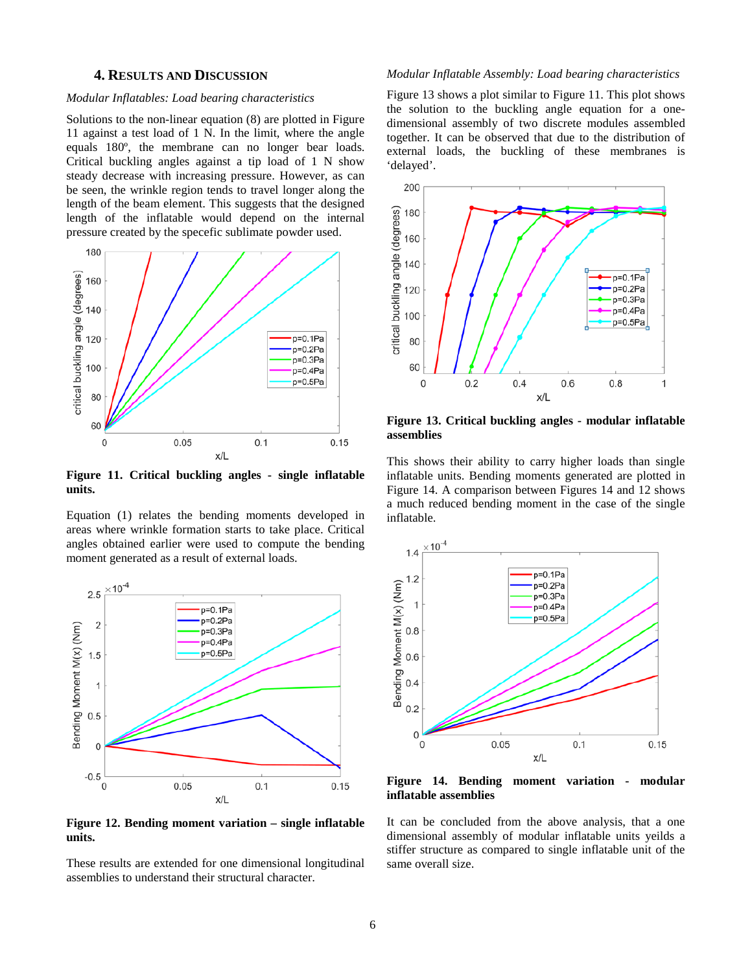# **4. RESULTS AND DISCUSSION**

#### <span id="page-5-0"></span>*Modular Inflatables: Load bearing characteristics*

Solutions to the non-linear equation (8) are plotted in Figure 11 against a test load of 1 N. In the limit, where the angle equals 180º, the membrane can no longer bear loads. Critical buckling angles against a tip load of 1 N show steady decrease with increasing pressure. However, as can be seen, the wrinkle region tends to travel longer along the length of the beam element. This suggests that the designed length of the inflatable would depend on the internal pressure created by the specefic sublimate powder used.



**Figure 11. Critical buckling angles - single inflatable units.**

Equation (1) relates the bending moments developed in areas where wrinkle formation starts to take place. Critical angles obtained earlier were used to compute the bending moment generated as a result of external loads.



**Figure 12. Bending moment variation – single inflatable units.**

These results are extended for one dimensional longitudinal assemblies to understand their structural character.

#### *Modular Inflatable Assembly: Load bearing characteristics*

Figure 13 shows a plot similar to Figure 11. This plot shows the solution to the buckling angle equation for a onedimensional assembly of two discrete modules assembled together. It can be observed that due to the distribution of external loads, the buckling of these membranes is 'delayed'.



**Figure 13. Critical buckling angles - modular inflatable assemblies**

This shows their ability to carry higher loads than single inflatable units. Bending moments generated are plotted in Figure 14. A comparison between Figures 14 and 12 shows a much reduced bending moment in the case of the single inflatable.



**Figure 14. Bending moment variation - modular inflatable assemblies**

It can be concluded from the above analysis, that a one dimensional assembly of modular inflatable units yeilds a stiffer structure as compared to single inflatable unit of the same overall size.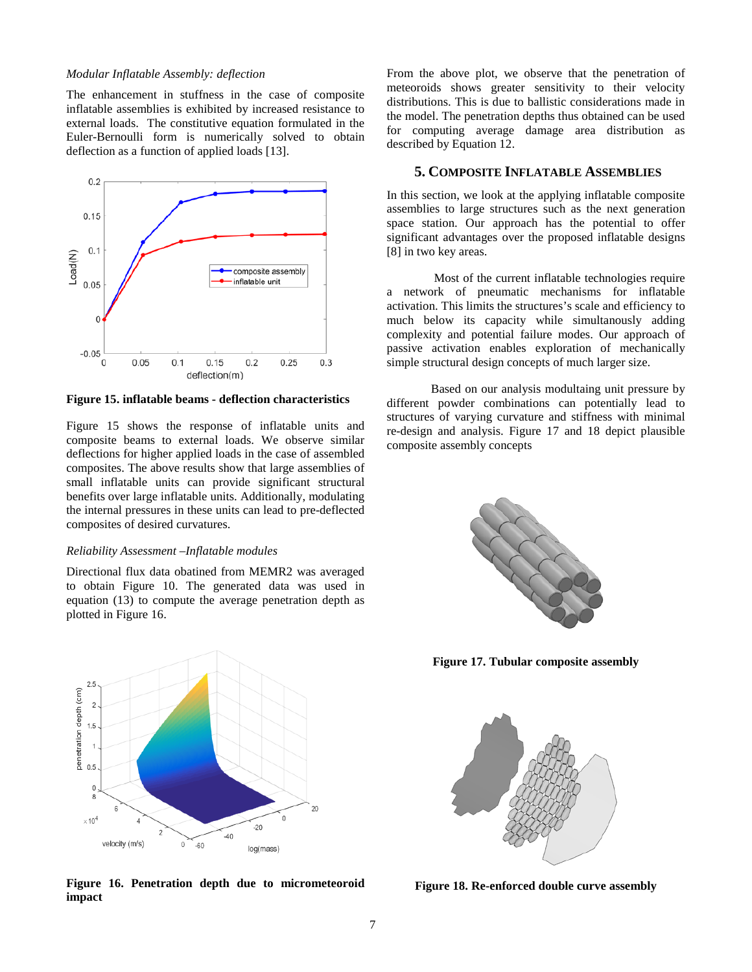#### *Modular Inflatable Assembly: deflection*

The enhancement in stuffness in the case of composite inflatable assemblies is exhibited by increased resistance to external loads. The constitutive equation formulated in the Euler-Bernoulli form is numerically solved to obtain deflection as a function of applied loads [13].



**Figure 15. inflatable beams - deflection characteristics** 

Figure 15 shows the response of inflatable units and composite beams to external loads. We observe similar deflections for higher applied loads in the case of assembled composites. The above results show that large assemblies of small inflatable units can provide significant structural benefits over large inflatable units. Additionally, modulating the internal pressures in these units can lead to pre-deflected composites of desired curvatures.

#### *Reliability Assessment –Inflatable modules*

Directional flux data obatined from MEMR2 was averaged to obtain Figure 10. The generated data was used in equation (13) to compute the average penetration depth as plotted in Figure 16.



**Figure 16. Penetration depth due to micrometeoroid impact**

From the above plot, we observe that the penetration of meteoroids shows greater sensitivity to their velocity distributions. This is due to ballistic considerations made in the model. The penetration depths thus obtained can be used for computing average damage area distribution as described by Equation 12.

## **5. COMPOSITE INFLATABLE ASSEMBLIES**

In this section, we look at the applying inflatable composite assemblies to large structures such as the next generation space station. Our approach has the potential to offer significant advantages over the proposed inflatable designs [8] in two key areas.

Most of the current inflatable technologies require a network of pneumatic mechanisms for inflatable activation. This limits the structures's scale and efficiency to much below its capacity while simultanously adding complexity and potential failure modes. Our approach of passive activation enables exploration of mechanically simple structural design concepts of much larger size.

Based on our analysis modultaing unit pressure by different powder combinations can potentially lead to structures of varying curvature and stiffness with minimal re-design and analysis. Figure 17 and 18 depict plausible composite assembly concepts



**Figure 17. Tubular composite assembly**



**Figure 18. Re-enforced double curve assembly**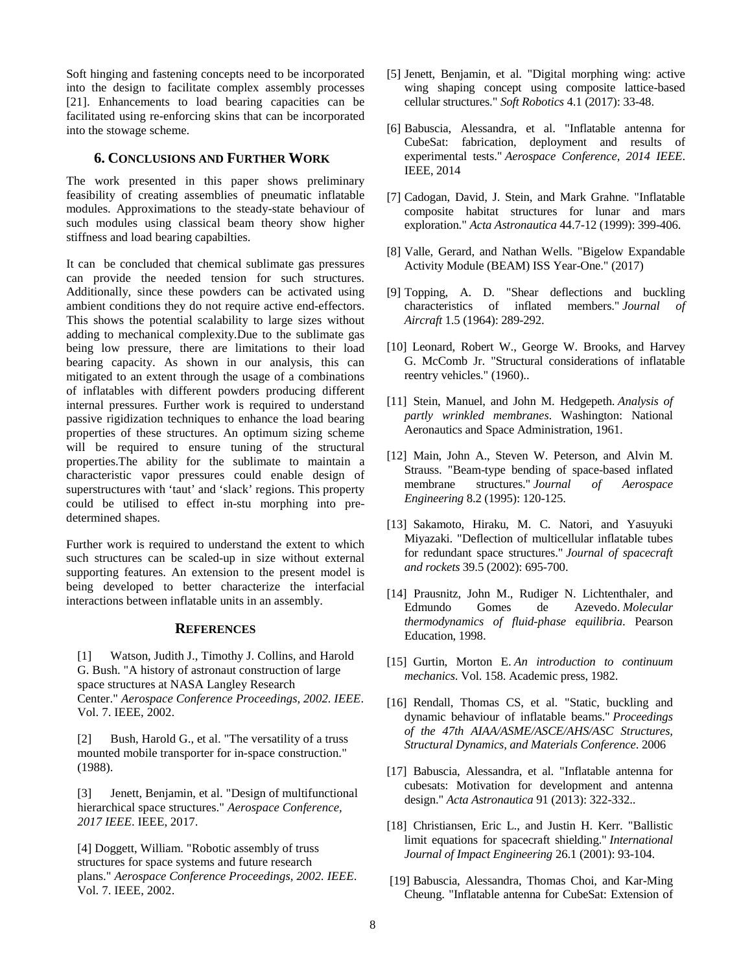Soft hinging and fastening concepts need to be incorporated into the design to facilitate complex assembly processes [21]. Enhancements to load bearing capacities can be facilitated using re-enforcing skins that can be incorporated into the stowage scheme.

# **6. CONCLUSIONS AND FURTHER WORK**

<span id="page-7-0"></span>The work presented in this paper shows preliminary feasibility of creating assemblies of pneumatic inflatable modules. Approximations to the steady-state behaviour of such modules using classical beam theory show higher stiffness and load bearing capabilties.

It can be concluded that chemical sublimate gas pressures can provide the needed tension for such structures. Additionally, since these powders can be activated using ambient conditions they do not require active end-effectors. This shows the potential scalability to large sizes without adding to mechanical complexity.Due to the sublimate gas being low pressure, there are limitations to their load bearing capacity. As shown in our analysis, this can mitigated to an extent through the usage of a combinations of inflatables with different powders producing different internal pressures. Further work is required to understand passive rigidization techniques to enhance the load bearing properties of these structures. An optimum sizing scheme will be required to ensure tuning of the structural properties.The ability for the sublimate to maintain a characteristic vapor pressures could enable design of superstructures with 'taut' and 'slack' regions. This property could be utilised to effect in-stu morphing into predetermined shapes.

Further work is required to understand the extent to which such structures can be scaled-up in size without external supporting features. An extension to the present model is being developed to better characterize the interfacial interactions between inflatable units in an assembly.

## **REFERENCES**

[1] Watson, Judith J., Timothy J. Collins, and Harold G. Bush. "A history of astronaut construction of large space structures at NASA Langley Research Center." *Aerospace Conference Proceedings, 2002. IEEE*. Vol. 7. IEEE, 2002.

[2] Bush, Harold G., et al. "The versatility of a truss mounted mobile transporter for in-space construction." (1988).

[3] Jenett, Benjamin, et al. "Design of multifunctional hierarchical space structures." *Aerospace Conference, 2017 IEEE*. IEEE, 2017.

[4] Doggett, William. "Robotic assembly of truss structures for space systems and future research plans." *Aerospace Conference Proceedings, 2002. IEEE*. Vol. 7. IEEE, 2002.

- [5] Jenett, Benjamin, et al. "Digital morphing wing: active wing shaping concept using composite lattice-based cellular structures." *Soft Robotics* 4.1 (2017): 33-48.
- [6] Babuscia, Alessandra, et al. "Inflatable antenna for CubeSat: fabrication, deployment and results of experimental tests." *Aerospace Conference, 2014 IEEE*. IEEE, 2014
- [7] Cadogan, David, J. Stein, and Mark Grahne. "Inflatable composite habitat structures for lunar and mars exploration." *Acta Astronautica* 44.7-12 (1999): 399-406.
- [8] Valle, Gerard, and Nathan Wells. "Bigelow Expandable Activity Module (BEAM) ISS Year-One." (2017)
- [9] Topping, A. D. "Shear deflections and buckling characteristics of inflated members." *Journal of Aircraft* 1.5 (1964): 289-292.
- [10] Leonard, Robert W., George W. Brooks, and Harvey G. McComb Jr. "Structural considerations of inflatable reentry vehicles." (1960)..
- [11] Stein, Manuel, and John M. Hedgepeth. *Analysis of partly wrinkled membranes*. Washington: National Aeronautics and Space Administration, 1961.
- [12] Main, John A., Steven W. Peterson, and Alvin M. Strauss. "Beam-type bending of space-based inflated membrane structures." *Journal of Aerospace Engineering* 8.2 (1995): 120-125.
- [13] Sakamoto, Hiraku, M. C. Natori, and Yasuyuki Miyazaki. "Deflection of multicellular inflatable tubes for redundant space structures." *Journal of spacecraft and rockets* 39.5 (2002): 695-700.
- [14] Prausnitz, John M., Rudiger N. Lichtenthaler, and Edmundo Gomes de Azevedo. *Molecular thermodynamics of fluid-phase equilibria*. Pearson Education, 1998.
- [15] Gurtin, Morton E. *An introduction to continuum mechanics*. Vol. 158. Academic press, 1982.
- [16] Rendall, Thomas CS, et al. "Static, buckling and dynamic behaviour of inflatable beams." *Proceedings of the 47th AIAA/ASME/ASCE/AHS/ASC Structures, Structural Dynamics, and Materials Conference*. 2006
- [17] Babuscia, Alessandra, et al. "Inflatable antenna for cubesats: Motivation for development and antenna design." *Acta Astronautica* 91 (2013): 322-332..
- [18] Christiansen, Eric L., and Justin H. Kerr. "Ballistic limit equations for spacecraft shielding." *International Journal of Impact Engineering* 26.1 (2001): 93-104.
- [19] Babuscia, Alessandra, Thomas Choi, and Kar-Ming Cheung. "Inflatable antenna for CubeSat: Extension of